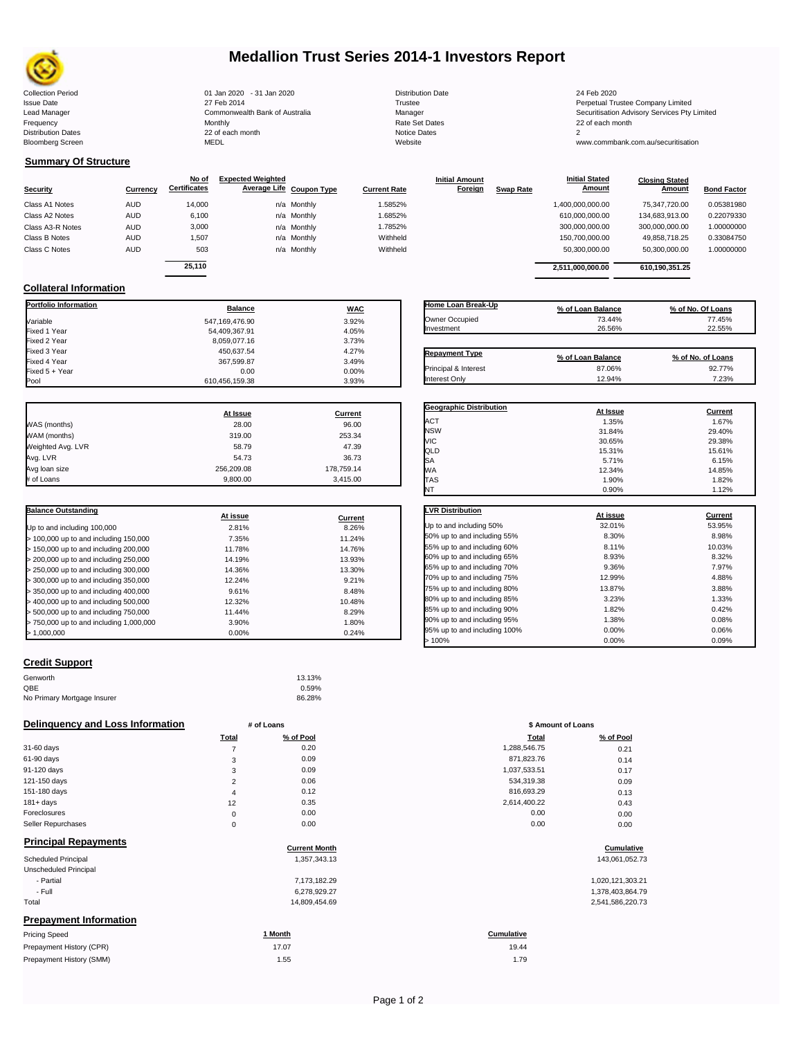

# **Medallion Trust Series 2014-1 Investors Report**

| Distributio |
|-------------|
| Trustee     |
| Manager     |
| Rate Set I  |
| Notice Da   |
| Website     |
|             |

**Closing Stated Amount**

#### **Summary Of Structure**

**Collateral Information**

|                  |            | No of               | <b>Expected Weighted</b> |                     | <b>Initial Amount</b> |                  | <b>Initial Stated</b> | <b>Closing Stated</b> |                    |
|------------------|------------|---------------------|--------------------------|---------------------|-----------------------|------------------|-----------------------|-----------------------|--------------------|
| <b>Security</b>  | Currency   | <b>Certificates</b> | Average Life Coupon Type | <b>Current Rate</b> | Foreign               | <b>Swap Rate</b> | <b>Amount</b>         | Amount                | <b>Bond Factor</b> |
| Class A1 Notes   | <b>AUD</b> | 14.000              | n/a Monthly              | 1.5852%             |                       |                  | 1,400,000,000.00      | 75.347.720.00         | 0.05381980         |
| Class A2 Notes   | <b>AUD</b> | 6,100               | n/a Monthly              | 1.6852%             |                       |                  | 610,000,000.00        | 134.683.913.00        | 0.22079330         |
| Class A3-R Notes | <b>AUD</b> | 3,000               | n/a Monthly              | 1.7852%             |                       |                  | 300,000,000.00        | 300.000.000.00        | 1.00000000         |
| Class B Notes    | AUD        | 1.507               | n/a Monthly              | Withheld            |                       |                  | 150,700,000.00        | 49.858.718.25         | 0.33084750         |
| Class C Notes    | <b>AUD</b> | 503                 | n/a Monthly              | Withheld            |                       |                  | 50,300,000.00         | 50,300,000.00         | 1.00000000         |
|                  |            | 25.110              |                          |                     |                       |                  |                       |                       |                    |
|                  |            |                     |                          |                     |                       |                  | 2.511.000.000.00      | 610.190.351.25        |                    |

**Portfolio Information Balance WAC** Variable 3.92% Fixed 1 Year 54,409,367.91 4.05% Fixed 2 Year 8,059,077.16 3.73% 8,059,077.16 3.73% 8,059,077.16 Fixed 3 Year 4.27% (1990) 450,637.54 4.27% (1990) 450,637.54 4.27% (1990) 4.27% (1990) 4.27% (1990) 4.27% (199<br>Fixed 4 Year 4.1 (1990) 4.48% (1990) 4.48% (1990) 4.48% (1990) 4.48% (1990) 4.48% (1990) 4.48% (1990) 4.48% (1

Fixed 5 + Year 0.00 0.00%

610,456,159.38

| Home Loan Break-Up    | % of Loan Balance | % of No. Of Loans |
|-----------------------|-------------------|-------------------|
| Owner Occupied        | 73.44%            | 77.45%            |
| Investment            | 26.56%            | 22.55%            |
| <b>Repayment Type</b> | % of Loan Balance | % of No. of Loans |
| Principal & Interest  | 87.06%            | 92.77%            |
| Interest Only         | 12.94%            | 7.23%             |

**Geographic Distribution**<br> **ACT ACT ACT ACT ACT ACT ACT ACT ACT ACT ACT ACT ACT ACT ACT ACT ACT ACT ACT ACT ACT ACT** ACT 1.35% 1.67% NSW 31.84% 29.40% VIC 30.65% 29.38%

**Initial Stated** 

|                   | At Issue   | Current    |
|-------------------|------------|------------|
| WAS (months)      | 28.00      | 96.00      |
| WAM (months)      | 319.00     | 253.34     |
| Weighted Avg. LVR | 58.79      | 47.39      |
| Avg. LVR          | 54.73      | 36.73      |
| Avg loan size     | 256.209.08 | 178,759.14 |
| # of Loans        | 9,800.00   | 3,415.00   |

367,599.87 3.49%<br>0.00 0.00 0.00%

| <b>Balance Outstanding</b>                | At issue | Current |
|-------------------------------------------|----------|---------|
| Up to and including 100,000               | 2.81%    | 8.26%   |
| $>$ 100,000 up to and including 150,000   | 7.35%    | 11.24%  |
| $>$ 150,000 up to and including 200,000   | 11.78%   | 14.76%  |
| > 200,000 up to and including 250,000     | 14.19%   | 13.93%  |
| $>$ 250,000 up to and including 300,000   | 14.36%   | 13.30%  |
| $>$ 300,000 up to and including 350,000   | 12.24%   | 9.21%   |
| > 350,000 up to and including 400,000     | 9.61%    | 8.48%   |
| $>$ 400,000 up to and including 500,000   | 12.32%   | 10.48%  |
| > 500,000 up to and including 750,000     | 11.44%   | 8.29%   |
| $> 750.000$ up to and including 1,000,000 | 3.90%    | 1.80%   |
| > 1.000.000                               | 0.00%    | 0.24%   |

| Credit Support |  |
|----------------|--|
|                |  |

| Genworth                    | 13.13% |
|-----------------------------|--------|
| QBE                         | 0.59%  |
| No Primary Mortgage Insurer | 86.28% |

| Delinguency and Loss Information                    |                | # of Loans           | \$ Amount of Loans |                  |
|-----------------------------------------------------|----------------|----------------------|--------------------|------------------|
|                                                     | Total          | % of Pool            | Total              | % of Pool        |
| 31-60 days                                          | $\overline{7}$ | 0.20                 | 1,288,546.75       | 0.21             |
| 61-90 days                                          | 3              | 0.09                 | 871,823.76         | 0.14             |
| 91-120 days                                         | 3              | 0.09                 | 1,037,533.51       | 0.17             |
| 121-150 days                                        | 2              | 0.06                 | 534,319.38         | 0.09             |
| 151-180 days                                        | 4              | 0.12                 | 816,693.29         | 0.13             |
| $181 + days$                                        | 12             | 0.35                 | 2,614,400.22       | 0.43             |
| Foreclosures                                        | 0              | 0.00                 | 0.00               | 0.00             |
| Seller Repurchases                                  | $\mathbf 0$    | 0.00                 | 0.00               | 0.00             |
| <b>Principal Repayments</b>                         |                | <b>Current Month</b> |                    |                  |
|                                                     |                |                      |                    | Cumulative       |
| <b>Scheduled Principal</b><br>Unscheduled Principal |                | 1,357,343.13         |                    | 143,061,052.73   |
| - Partial                                           |                | 7,173,182.29         |                    | 1,020,121,303.21 |
| - Full                                              |                | 6,278,929.27         |                    | 1,378,403,864.79 |
| Total                                               |                | 14,809,454.69        |                    | 2,541,586,220.73 |
| <b>Prepayment Information</b>                       |                |                      |                    |                  |
| <b>Pricing Speed</b>                                |                | 1 Month              | Cumulative         |                  |
| Prepayment History (CPR)                            |                | 17.07                | 19.44              |                  |
| Prepayment History (SMM)                            |                | 1.55                 | 1.79               |                  |

| QLD                          | 15.31%   | 15.61%         |
|------------------------------|----------|----------------|
| SA                           | 5.71%    | 6.15%          |
| WA                           | 12.34%   | 14.85%         |
| TAS                          | 1.90%    | 1.82%          |
| NT                           | 0.90%    | 1.12%          |
| LVR Distribution             | At issue | <b>Current</b> |
| Up to and including 50%      | 32.01%   | 53.95%         |
| 50% up to and including 55%  | 8.30%    | 8.98%          |
| 55% up to and including 60%  | 8.11%    | 10.03%         |
| 60% up to and including 65%  | 8.93%    | 8.32%          |
| 65% up to and including 70%  | 9.36%    | 7.97%          |
| 70% up to and including 75%  | 12.99%   | 4.88%          |
| 75% up to and including 80%  | 13.87%   | 3.88%          |
| 80% up to and including 85%  | 3.23%    | 1.33%          |
| 85% up to and including 90%  | 1.82%    | 0.42%          |
| 90% up to and including 95%  | 1.38%    | 0.08%          |
| 95% up to and including 100% | 0.00%    | 0.06%          |
| >100%                        | 0.00%    | 0.09%          |

| # of Loans     |           |              | \$ Amount of Loans |  |  |
|----------------|-----------|--------------|--------------------|--|--|
| Total          | % of Pool | Total        | % of Pool          |  |  |
| 7              | 0.20      | 1,288,546.75 | 0.21               |  |  |
| 3              | 0.09      | 871,823.76   | 0.14               |  |  |
| 3              | 0.09      | 1,037,533.51 | 0.17               |  |  |
| $\overline{2}$ | 0.06      | 534,319.38   | 0.09               |  |  |
| 4              | 0.12      | 816,693.29   | 0.13               |  |  |
| 12             | 0.35      | 2,614,400.22 | 0.43               |  |  |
| $\mathbf 0$    | 0.00      | 0.00         | 0.00               |  |  |
| $\mathbf 0$    | 0.00      | 0.00         | 0.00               |  |  |

## **Cumulative**

Collection Period 01 Jan 2020 - 31 Jan 2020 Distribution Date 24 Feb 2020 Issue Date 27 Feb 2014 Trustee Perpetual Trustee Company Limited Lead Manager **Commonwealth Bank of Australia** Manager Manager Securitisation Advisory Services Pty Limited Frequency Monthly Rate Set Dates 22 of each month Prequency results are the month of the Monthly Monthly and the Set Dates 22 of each month of the Set Dates 20 of each month of the Set Dates 20 of each month of the Set Dates 20 of each month of the Set Dates 20 of each mo Bloomberg Screen MEDL Website www.commbank.com.au/securitisation